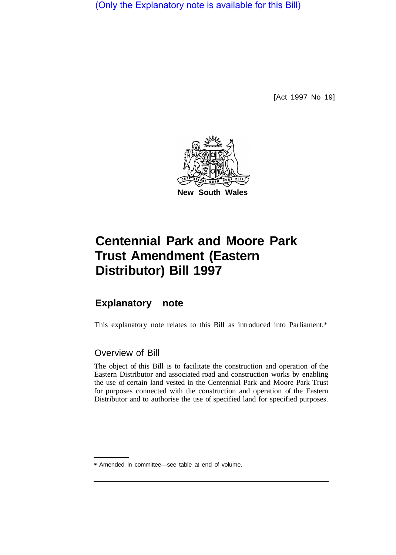(Only the Explanatory note is available for this Bill)

[Act 1997 No 19]



# **Centennial Park and Moore Park Trust Amendment (Eastern Distributor) Bill 1997**

# **Explanatory note**

This explanatory note relates to this Bill as introduced into Parliament.\*

## Overview of Bill

The object of this Bill is to facilitate the construction and operation of the Eastern Distributor and associated road and construction works by enabling the use of certain land vested in the Centennial Park and Moore Park Trust for purposes connected with the construction and operation of the Eastern Distributor and to authorise the use of specified land for specified purposes.

<sup>\*</sup> Amended in committee—see table at end of volume.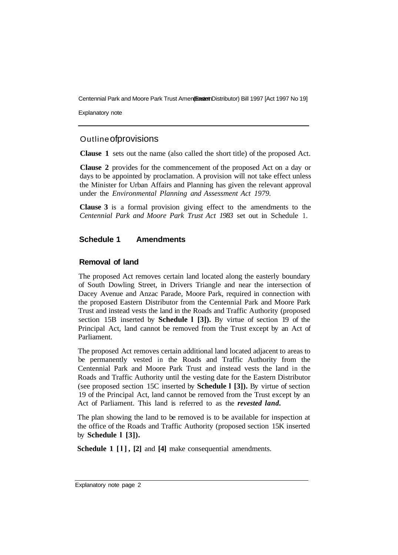Centennial Park and Moore Park Trust Amen(Frastern Distributor) Bill 1997 [Act 1997 No 19]

Explanatory note

### Outline of provisions

**Clause 1** sets out the name (also called the short title) of the proposed Act.

**Clause 2** provides for the commencement of the proposed Act on a day or days to be appointed by proclamation. A provision will not take effect unless the Minister for Urban Affairs and Planning has given the relevant approval under the *Environmental Planning and Assessment Act 1979.* 

**Clause 3** is a formal provision giving effect to the amendments to the *Centennial Park and Moore Park Trust Act 1983* set out in Schedule 1.

#### **Schedule 1 Amendments**

#### **Removal of land**

The proposed Act removes certain land located along the easterly boundary of South Dowling Street, in Drivers Triangle and near the intersection of Dacey Avenue and Anzac Parade, Moore Park, required in connection with the proposed Eastern Distributor from the Centennial Park and Moore Park Trust and instead vests the land in the Roads and Traffic Authority (proposed section 15B inserted by **Schedule l [3]).** By virtue of section 19 of the Principal Act, land cannot be removed from the Trust except by an Act of Parliament.

The proposed Act removes certain additional land located adjacent to areas to be permanently vested in the Roads and Traffic Authority from the Centennial Park and Moore Park Trust and instead vests the land in the Roads and Traffic Authority until the vesting date for the Eastern Distributor (see proposed section 15C inserted by **Schedule l [3]).** By virtue of section 19 of the Principal Act, land cannot be removed from the Trust except by an Act of Parliament. This land is referred to as the *revested land.* 

The plan showing the land to be removed is to be available for inspection at the office of the Roads and Traffic Authority (proposed section 15K inserted by **Schedule l [3]).** 

**Schedule 1 [l], [2]** and **[4]** make consequential amendments.